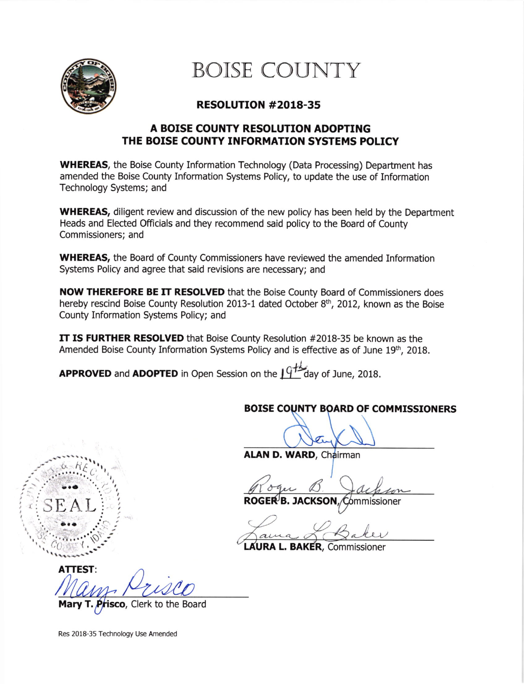

# BOISE COUNTY

## RESOLUTTON #2018-35

### A BOISE COUNTY RESOLUTION ADOPTING THE BOISE COUNTY INFORMATION SYSTEMS POLICY

WHEREAS, the Boise County Information Technology (Data Processing) Department has amended the Boise County Information Systems Policy, to update the use of Information Technology Systems; and

WHEREAS, diligent review and discussion of the new policy has been held by the Department Heads and Elected Officials and they recommend said policy to the Board of County Commissioners; and

WHEREAS, the Board of County Commissioners have reviewed the amended Information Systems Policy and agree that said revisions are necessary; and

NOW THEREFORE BE IT RESOLVED that the Boise County Board of Commissioners does hereby rescind Boise County Resolution 2013-1 dated October  $8<sup>th</sup>$ , 2012, known as the Boise County Information Systems Policy; and

IT IS FURTHER RESOLVED that Boise County Resolution #2018-35 be known as the Amended Boise County Information Systems Policy and is effective as of June 19th, 2018.

**APPROVED** and **ADOPTED** in Open Session on the  $19^{+8}$  day of June, 2018.

### BOISE COUNTY BOARD OF COMMISSIONERS

ALAN D. WARD, Chairman

<u>B</u>

 $\mathsf{ROGER}$ 'B. ommissioner

 $\overline{\phantom{0}}$ 

**AURA L. BAKER, Commissioner** 

ATTEST:

Prisco, Clerk to the Board Mary T.

Res 2018-35 Technology Use Amended

 $\mathbf{r}$ 

 $\mathcal{O}$  -

 $. 00,$ 

 $|SEAL|$